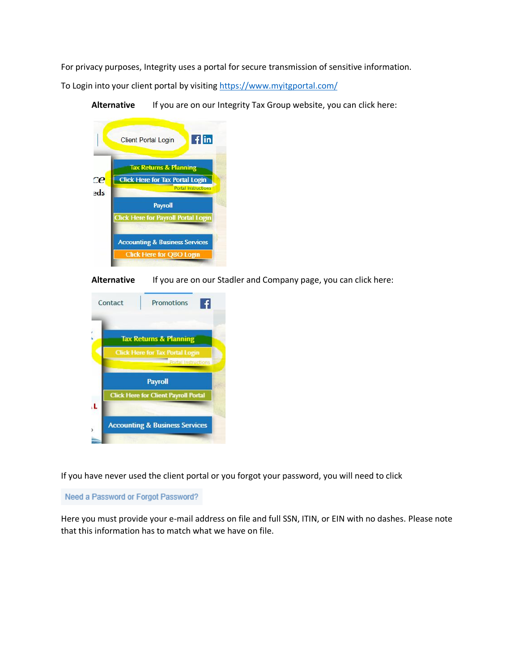For privacy purposes, Integrity uses a portal for secure transmission of sensitive information. To Login into your client portal by visiting <https://www.myitgportal.com/>

**Alternative** If you are on our Integrity Tax Group website, you can click here:



**Alternative** If you are on our Stadler and Company page, you can click here:



If you have never used the client portal or you forgot your password, you will need to click

Need a Password or Forgot Password?

Here you must provide your e-mail address on file and full SSN, ITIN, or EIN with no dashes. Please note that this information has to match what we have on file.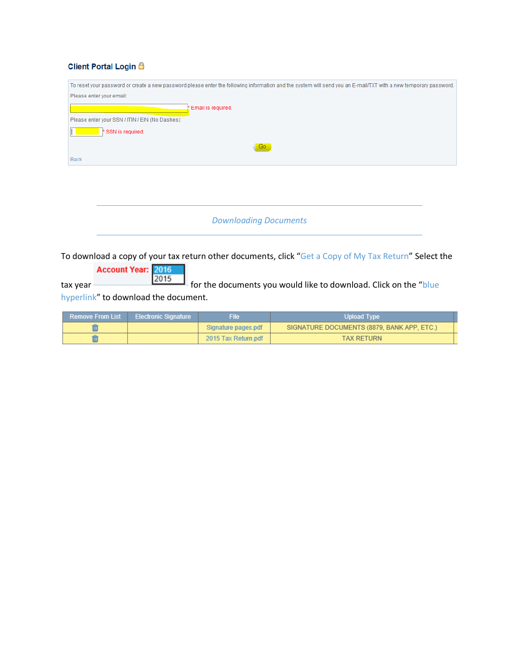## **Client Portal Login &**

| To reset your password or create a new password please enter the following information and the system will send you an E-mail/TXT with a new temporary password. |
|------------------------------------------------------------------------------------------------------------------------------------------------------------------|
| Please enter your email:                                                                                                                                         |
| Email is required.                                                                                                                                               |
| Please enter your SSN / ITIN / EIN (No Dashes):                                                                                                                  |
| * SSN is required.                                                                                                                                               |
| Go                                                                                                                                                               |
| <b>Back</b>                                                                                                                                                      |

*Downloading Documents*

To download a copy of your tax return other documents, click "Get a Copy of My Tax Return" Select the

**Account Year: 2016** tax year **for the documents you would like to download. Click on the "blue**" hyperlink" to download the document.

| <b>Remove From List</b> | <b>Electronic Signature</b> | <b>File</b>         | Upload Type                                |
|-------------------------|-----------------------------|---------------------|--------------------------------------------|
|                         |                             | Signature pages.pdf | SIGNATURE DOCUMENTS (8879, BANK APP, ETC.) |
|                         |                             | 2015 Tax Return.pdf | <b>TAX RETURN</b>                          |